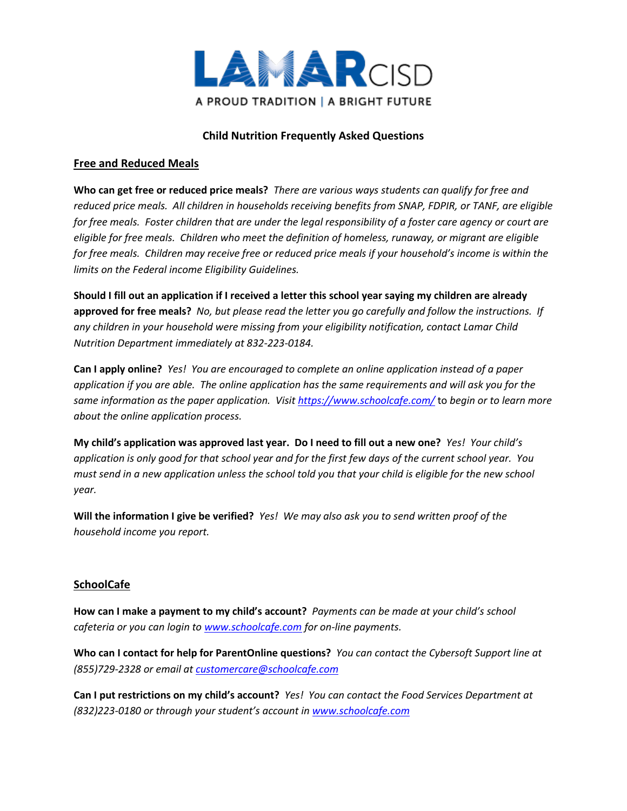

# **Child Nutrition Frequently Asked Questions**

#### **Free and Reduced Meals**

**Who can get free or reduced price meals?** *There are various ways students can qualify for free and reduced price meals. All children in households receiving benefits from SNAP, FDPIR, or TANF, are eligible for free meals. Foster children that are under the legal responsibility of a foster care agency or court are eligible for free meals. Children who meet the definition of homeless, runaway, or migrant are eligible for free meals. Children may receive free or reduced price meals if your household's income is within the limits on the Federal income Eligibility Guidelines.*

**Should I fill out an application if I received a letter this school year saying my children are already approved for free meals?** *No, but please read the letter you go carefully and follow the instructions. If any children in your household were missing from your eligibility notification, contact Lamar Child Nutrition Department immediately at 832-223-0184.*

**Can I apply online?** *Yes! You are encouraged to complete an online application instead of a paper application if you are able. The online application has the same requirements and will ask you for the same information as the paper application. Visit https://www.schoolcafe.com/* to *begin or to learn more about the online application process.* 

**My child's application was approved last year. Do I need to fill out a new one?** *Yes! Your child's application is only good for that school year and for the first few days of the current school year. You must send in a new application unless the school told you that your child is eligible for the new school year.*

**Will the information I give be verified?** *Yes! We may also ask you to send written proof of the household income you report.*

## **SchoolCafe**

**How can I make a payment to my child's account?** *Payments can be made at your child's school cafeteria or you can login to www.schoolcafe.com for on-line payments.* 

**Who can I contact for help for ParentOnline questions?** *You can contact the Cybersoft Support line at (855)729-2328 or email at [customercare@schoolcafe.com](mailto:customercare@schoolcafe.com)*

**Can I put restrictions on my child's account?** *Yes! You can contact the Food Services Department at (832)223-0180 or through your student's account in www.schoolcafe.com*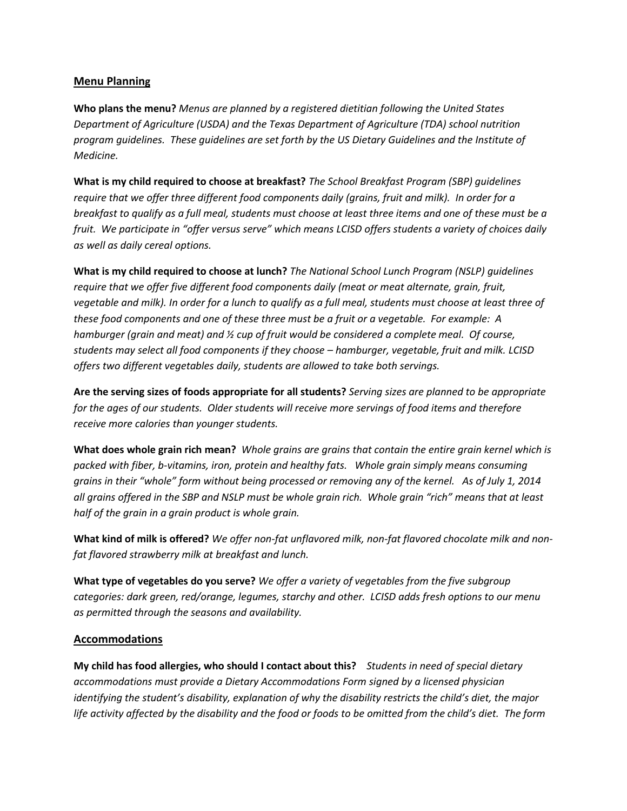#### **Menu Planning**

**Who plans the menu?** *Menus are planned by a registered dietitian following the United States Department of Agriculture (USDA) and the Texas Department of Agriculture (TDA) school nutrition program guidelines. These guidelines are set forth by the US Dietary Guidelines and the Institute of Medicine.* 

**What is my child required to choose at breakfast?** *The School Breakfast Program (SBP) guidelines require that we offer three different food components daily (grains, fruit and milk). In order for a breakfast to qualify as a full meal, students must choose at least three items and one of these must be a fruit. We participate in "offer versus serve" which means LCISD offers students a variety of choices daily as well as daily cereal options.* 

**What is my child required to choose at lunch?** *The National School Lunch Program (NSLP) guidelines require that we offer five different food components daily (meat or meat alternate, grain, fruit, vegetable and milk). In order for a lunch to qualify as a full meal, students must choose at least three of these food components and one of these three must be a fruit or a vegetable. For example: A hamburger (grain and meat) and ½ cup of fruit would be considered a complete meal. Of course, students may select all food components if they choose – hamburger, vegetable, fruit and milk. LCISD offers two different vegetables daily, students are allowed to take both servings.* 

**Are the serving sizes of foods appropriate for all students?** *Serving sizes are planned to be appropriate for the ages of our students. Older students will receive more servings of food items and therefore receive more calories than younger students.*

**What does whole grain rich mean?** *Whole grains are grains that contain the entire grain kernel which is packed with fiber, b-vitamins, iron, protein and healthy fats. Whole grain simply means consuming grains in their "whole" form without being processed or removing any of the kernel. As of July 1, 2014 all grains offered in the SBP and NSLP must be whole grain rich. Whole grain "rich" means that at least half of the grain in a grain product is whole grain.* 

**What kind of milk is offered?** *We offer non-fat unflavored milk, non-fat flavored chocolate milk and nonfat flavored strawberry milk at breakfast and lunch.*

**What type of vegetables do you serve?** *We offer a variety of vegetables from the five subgroup categories: dark green, red/orange, legumes, starchy and other. LCISD adds fresh options to our menu as permitted through the seasons and availability.* 

## **Accommodations**

**My child has food allergies, who should I contact about this?** *Students in need of special dietary accommodations must provide a Dietary Accommodations Form signed by a licensed physician identifying the student's disability, explanation of why the disability restricts the child's diet, the major life activity affected by the disability and the food or foods to be omitted from the child's diet. The form*